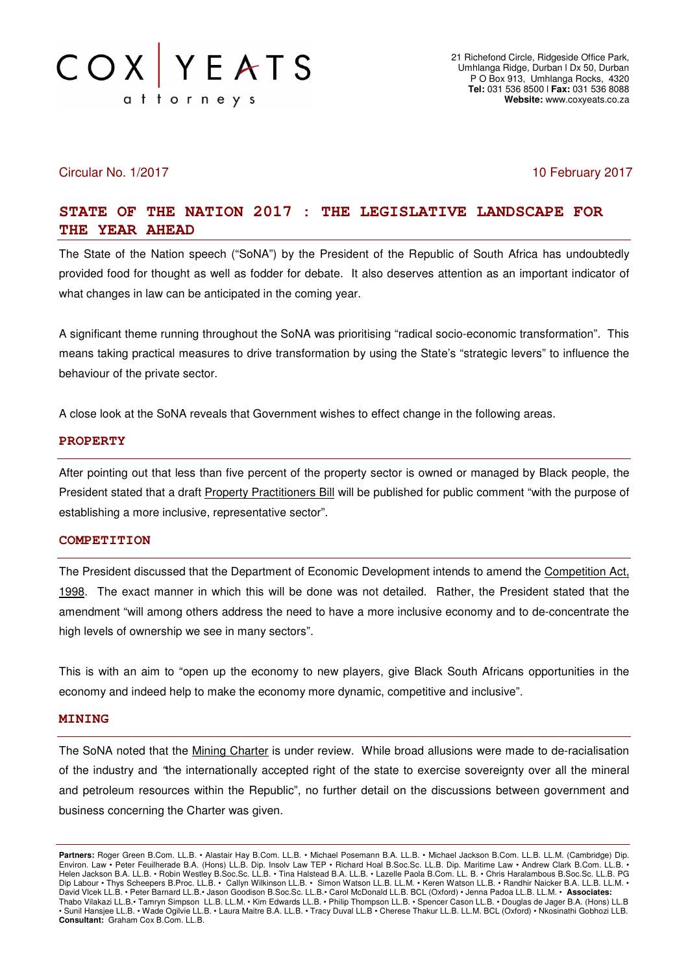

## Circular No. 1/2017 10 February 2017

# **STATE OF THE NATION 2017 : THE LEGISLATIVE LANDSCAPE FOR THE YEAR AHEAD**

The State of the Nation speech ("SoNA") by the President of the Republic of South Africa has undoubtedly provided food for thought as well as fodder for debate. It also deserves attention as an important indicator of what changes in law can be anticipated in the coming year.

A significant theme running throughout the SoNA was prioritising "radical socio-economic transformation". This means taking practical measures to drive transformation by using the State's "strategic levers" to influence the behaviour of the private sector.

A close look at the SoNA reveals that Government wishes to effect change in the following areas.

#### **PROPERTY**

After pointing out that less than five percent of the property sector is owned or managed by Black people, the President stated that a draft Property Practitioners Bill will be published for public comment "with the purpose of establishing a more inclusive, representative sector".

#### **COMPETITION**

The President discussed that the Department of Economic Development intends to amend the Competition Act, 1998. The exact manner in which this will be done was not detailed. Rather, the President stated that the amendment "will among others address the need to have a more inclusive economy and to de-concentrate the high levels of ownership we see in many sectors".

This is with an aim to "open up the economy to new players, give Black South Africans opportunities in the economy and indeed help to make the economy more dynamic, competitive and inclusive".

#### **MINING**

The SoNA noted that the Mining Charter is under review. While broad allusions were made to de-racialisation of the industry and "the internationally accepted right of the state to exercise sovereignty over all the mineral and petroleum resources within the Republic", no further detail on the discussions between government and business concerning the Charter was given.

**Partners:** Roger Green B.Com. LL.B. • Alastair Hay B.Com. LL.B. • Michael Posemann B.A. LL.B. • Michael Jackson B.Com. LL.B. LL.M. (Cambridge) Dip. Environ. Law • Peter Feuilherade B.A. (Hons) LL.B. Dip. Insolv Law TEP • Richard Hoal B.Soc.Sc. LL.B. Dip. Maritime Law • Andrew Clark B.Com. LL.B. • Helen Jackson B.A. LL.B. • Robin Westley B.Soc.Sc. LL.B. • Tina Halstead B.A. LL.B. • Lazelle Paola B.Com. LL. B. • Chris Haralambous B.Soc.Sc. LL.B. PG Dip Labour • Thys Scheepers B.Proc. LL.B. • Callyn Wilkinson LL.B. • Simon Watson LL.B. LL.M. • Keren Watson LL.B. • Randhir Naicker B.A. LL.B. LL.M. • David Vlcek LL.B. • Peter Barnard LL.B.• Jason Goodison B.Soc.Sc. LL.B.• Carol McDonald LL.B. BCL (Oxford) • Jenna Padoa LL.B. LL.M. • **Associates:** Thabo Vilakazi LL.B.• Tamryn Simpson LL.B. LL.M. • Kim Edwards LL.B. • Philip Thompson LL.B. • Spencer Cason LL.B. • Douglas de Jager B.A. (Hons) LL.B • Sunil Hansjee LL.B. • Wade Ogilvie LL.B. • Laura Maitre B.A. LL.B. • Tracy Duval LL.B • Cherese Thakur LL.B. LL.M. BCL (Oxford) • Nkosinathi Gobhozi LLB. **Consultant:** Graham Cox B.Com. LL.B.